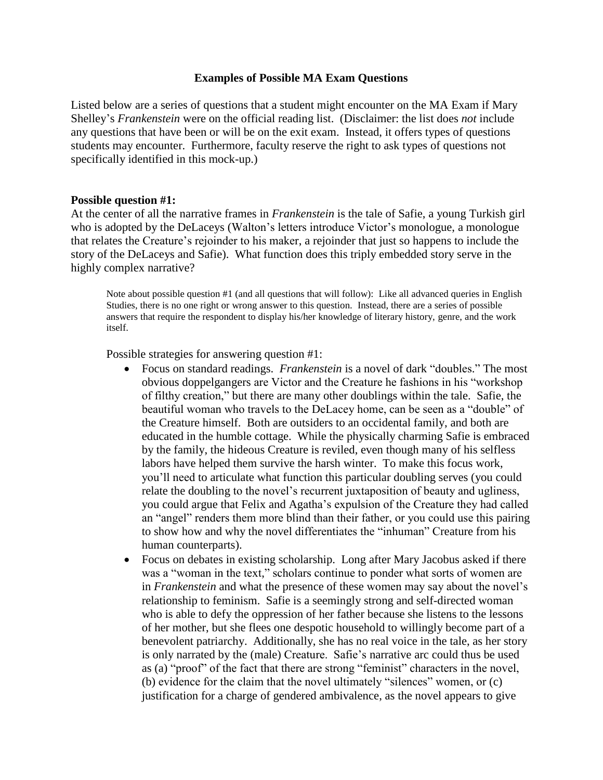## **Examples of Possible MA Exam Questions**

Listed below are a series of questions that a student might encounter on the MA Exam if Mary Shelley's *Frankenstein* were on the official reading list. (Disclaimer: the list does *not* include any questions that have been or will be on the exit exam. Instead, it offers types of questions students may encounter. Furthermore, faculty reserve the right to ask types of questions not specifically identified in this mock-up.)

## **Possible question #1:**

At the center of all the narrative frames in *Frankenstein* is the tale of Safie, a young Turkish girl who is adopted by the DeLaceys (Walton's letters introduce Victor's monologue, a monologue that relates the Creature's rejoinder to his maker, a rejoinder that just so happens to include the story of the DeLaceys and Safie). What function does this triply embedded story serve in the highly complex narrative?

Note about possible question #1 (and all questions that will follow): Like all advanced queries in English Studies, there is no one right or wrong answer to this question. Instead, there are a series of possible answers that require the respondent to display his/her knowledge of literary history, genre, and the work itself.

Possible strategies for answering question #1:

- Focus on standard readings. *Frankenstein* is a novel of dark "doubles." The most obvious doppelgangers are Victor and the Creature he fashions in his "workshop of filthy creation," but there are many other doublings within the tale. Safie, the beautiful woman who travels to the DeLacey home, can be seen as a "double" of the Creature himself. Both are outsiders to an occidental family, and both are educated in the humble cottage. While the physically charming Safie is embraced by the family, the hideous Creature is reviled, even though many of his selfless labors have helped them survive the harsh winter. To make this focus work, you'll need to articulate what function this particular doubling serves (you could relate the doubling to the novel's recurrent juxtaposition of beauty and ugliness, you could argue that Felix and Agatha's expulsion of the Creature they had called an "angel" renders them more blind than their father, or you could use this pairing to show how and why the novel differentiates the "inhuman" Creature from his human counterparts).
- Focus on debates in existing scholarship. Long after Mary Jacobus asked if there was a "woman in the text," scholars continue to ponder what sorts of women are in *Frankenstein* and what the presence of these women may say about the novel's relationship to feminism. Safie is a seemingly strong and self-directed woman who is able to defy the oppression of her father because she listens to the lessons of her mother, but she flees one despotic household to willingly become part of a benevolent patriarchy. Additionally, she has no real voice in the tale, as her story is only narrated by the (male) Creature. Safie's narrative arc could thus be used as (a) "proof" of the fact that there are strong "feminist" characters in the novel, (b) evidence for the claim that the novel ultimately "silences" women, or (c) justification for a charge of gendered ambivalence, as the novel appears to give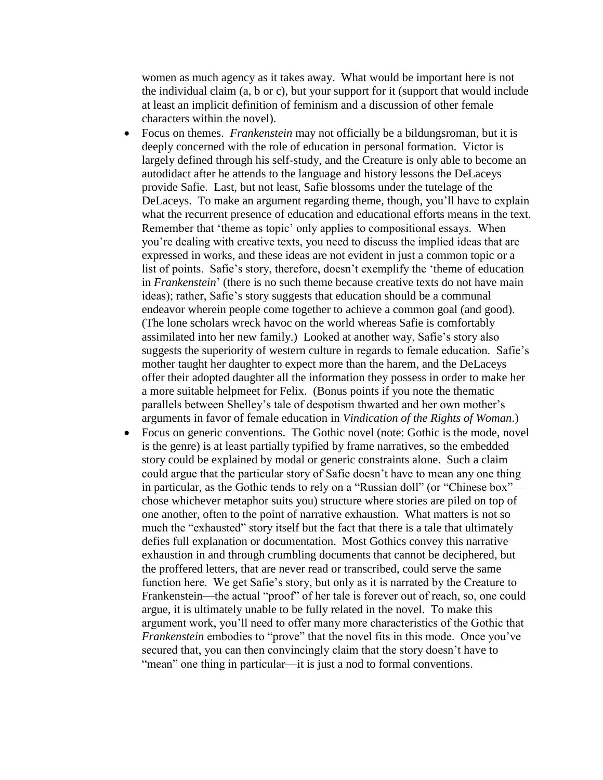women as much agency as it takes away. What would be important here is not the individual claim (a, b or c), but your support for it (support that would include at least an implicit definition of feminism and a discussion of other female characters within the novel).

- Focus on themes. *Frankenstein* may not officially be a bildungsroman, but it is deeply concerned with the role of education in personal formation. Victor is largely defined through his self-study, and the Creature is only able to become an autodidact after he attends to the language and history lessons the DeLaceys provide Safie. Last, but not least, Safie blossoms under the tutelage of the DeLaceys. To make an argument regarding theme, though, you'll have to explain what the recurrent presence of education and educational efforts means in the text. Remember that 'theme as topic' only applies to compositional essays. When you're dealing with creative texts, you need to discuss the implied ideas that are expressed in works, and these ideas are not evident in just a common topic or a list of points. Safie's story, therefore, doesn't exemplify the 'theme of education in *Frankenstein*' (there is no such theme because creative texts do not have main ideas); rather, Safie's story suggests that education should be a communal endeavor wherein people come together to achieve a common goal (and good). (The lone scholars wreck havoc on the world whereas Safie is comfortably assimilated into her new family.) Looked at another way, Safie's story also suggests the superiority of western culture in regards to female education. Safie's mother taught her daughter to expect more than the harem, and the DeLaceys offer their adopted daughter all the information they possess in order to make her a more suitable helpmeet for Felix. (Bonus points if you note the thematic parallels between Shelley's tale of despotism thwarted and her own mother's arguments in favor of female education in *Vindication of the Rights of Woman*.)
- Focus on generic conventions. The Gothic novel (note: Gothic is the mode, novel is the genre) is at least partially typified by frame narratives, so the embedded story could be explained by modal or generic constraints alone. Such a claim could argue that the particular story of Safie doesn't have to mean any one thing in particular, as the Gothic tends to rely on a "Russian doll" (or "Chinese box" chose whichever metaphor suits you) structure where stories are piled on top of one another, often to the point of narrative exhaustion. What matters is not so much the "exhausted" story itself but the fact that there is a tale that ultimately defies full explanation or documentation. Most Gothics convey this narrative exhaustion in and through crumbling documents that cannot be deciphered, but the proffered letters, that are never read or transcribed, could serve the same function here. We get Safie's story, but only as it is narrated by the Creature to Frankenstein—the actual "proof" of her tale is forever out of reach, so, one could argue, it is ultimately unable to be fully related in the novel. To make this argument work, you'll need to offer many more characteristics of the Gothic that *Frankenstein* embodies to "prove" that the novel fits in this mode. Once you've secured that, you can then convincingly claim that the story doesn't have to "mean" one thing in particular—it is just a nod to formal conventions.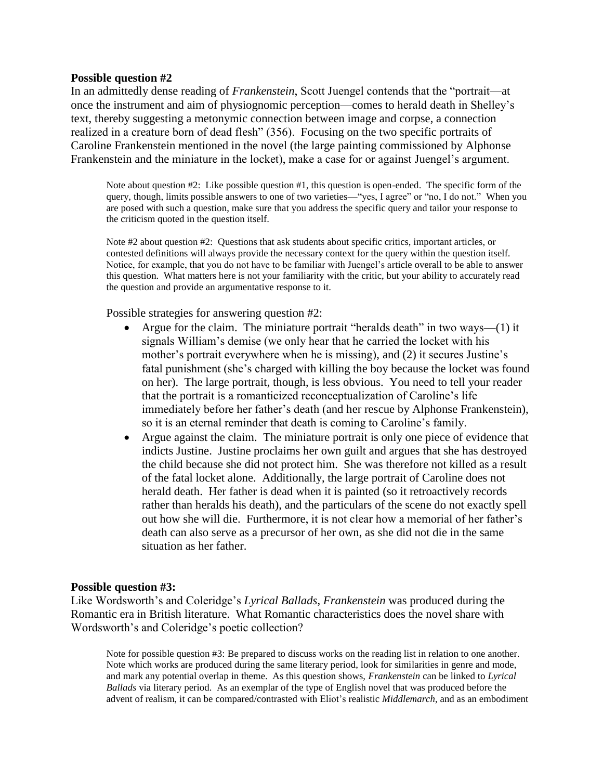## **Possible question #2**

In an admittedly dense reading of *Frankenstein*, Scott Juengel contends that the "portrait—at once the instrument and aim of physiognomic perception—comes to herald death in Shelley's text, thereby suggesting a metonymic connection between image and corpse, a connection realized in a creature born of dead flesh" (356). Focusing on the two specific portraits of Caroline Frankenstein mentioned in the novel (the large painting commissioned by Alphonse Frankenstein and the miniature in the locket), make a case for or against Juengel's argument.

Note about question #2: Like possible question #1, this question is open-ended. The specific form of the query, though, limits possible answers to one of two varieties—"yes, I agree" or "no, I do not." When you are posed with such a question, make sure that you address the specific query and tailor your response to the criticism quoted in the question itself.

Note #2 about question #2: Questions that ask students about specific critics, important articles, or contested definitions will always provide the necessary context for the query within the question itself. Notice, for example, that you do not have to be familiar with Juengel's article overall to be able to answer this question. What matters here is not your familiarity with the critic, but your ability to accurately read the question and provide an argumentative response to it.

Possible strategies for answering question #2:

- Argue for the claim. The miniature portrait "heralds death" in two ways—(1) it signals William's demise (we only hear that he carried the locket with his mother's portrait everywhere when he is missing), and (2) it secures Justine's fatal punishment (she's charged with killing the boy because the locket was found on her). The large portrait, though, is less obvious. You need to tell your reader that the portrait is a romanticized reconceptualization of Caroline's life immediately before her father's death (and her rescue by Alphonse Frankenstein), so it is an eternal reminder that death is coming to Caroline's family.
- Argue against the claim. The miniature portrait is only one piece of evidence that indicts Justine. Justine proclaims her own guilt and argues that she has destroyed the child because she did not protect him. She was therefore not killed as a result of the fatal locket alone. Additionally, the large portrait of Caroline does not herald death. Her father is dead when it is painted (so it retroactively records rather than heralds his death), and the particulars of the scene do not exactly spell out how she will die. Furthermore, it is not clear how a memorial of her father's death can also serve as a precursor of her own, as she did not die in the same situation as her father.

### **Possible question #3:**

Like Wordsworth's and Coleridge's *Lyrical Ballads*, *Frankenstein* was produced during the Romantic era in British literature. What Romantic characteristics does the novel share with Wordsworth's and Coleridge's poetic collection?

Note for possible question #3: Be prepared to discuss works on the reading list in relation to one another. Note which works are produced during the same literary period, look for similarities in genre and mode, and mark any potential overlap in theme. As this question shows, *Frankenstein* can be linked to *Lyrical Ballads* via literary period. As an exemplar of the type of English novel that was produced before the advent of realism, it can be compared/contrasted with Eliot's realistic *Middlemarch*, and as an embodiment